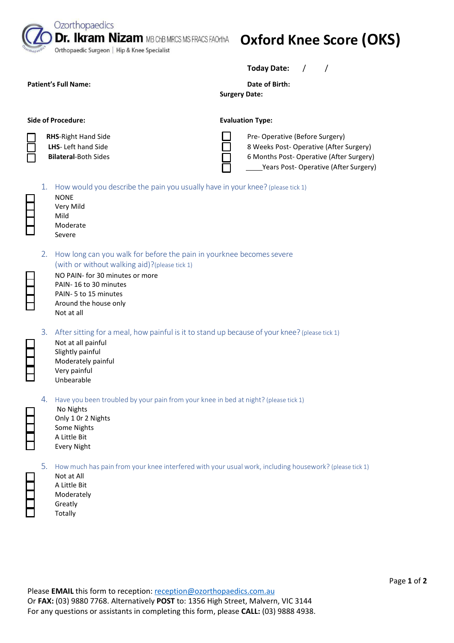**Dr. Ikram Nizam MB ChB MRCS MS FRACS FAOrthA** 

Orthopaedic Surgeon | Hip & Knee Specialist

## **Oxford Knee Score (OKS)**

**Today Date:** / /

Patient's Full Name: **Date of Birth: Date of Birth: Date of Birth:** 

**Surgery Date:** 

**Side of Procedure:** The Evaluation Type:

**RHS**-Right Hand Side **LHS**- Left hand Side **Bilateral**-Both Sides

Ozorthopaedics

| Pre-Operative (Before Surgery)          |
|-----------------------------------------|
| 8 Weeks Post-Operative (After Surgery)  |
| 6 Months Post-Operative (After Surgery) |
| Years Post-Operative (After Surgery)    |
|                                         |



| 1. | How would you describe the pain you usually have in your knee? (please tick 1)<br><b>NONE</b><br>Very Mild<br>Mild<br>Moderate<br>Severe                                                                                                         |
|----|--------------------------------------------------------------------------------------------------------------------------------------------------------------------------------------------------------------------------------------------------|
| 2. | How long can you walk for before the pain in yourknee becomes severe<br>(with or without walking aid)?(please tick 1)<br>NO PAIN- for 30 minutes or more<br>PAIN-16 to 30 minutes<br>PAIN-5 to 15 minutes<br>Around the house only<br>Not at all |
| 3. | After sitting for a meal, how painful is it to stand up because of your knee? (please tick 1)<br>Not at all painful<br>Slightly painful<br>Moderately painful<br>Very painful<br>Unbearable                                                      |
| 4. | Have you been troubled by your pain from your knee in bed at night? (please tick 1)                                                                                                                                                              |

5. How much has pain from your knee interfered with your usual work, including housework? (please tick 1)

Not at All A Little Bit Moderately Greatly Totally

No Nights Only 1 0r 2 Nights Some Nights A Little Bit Every Night